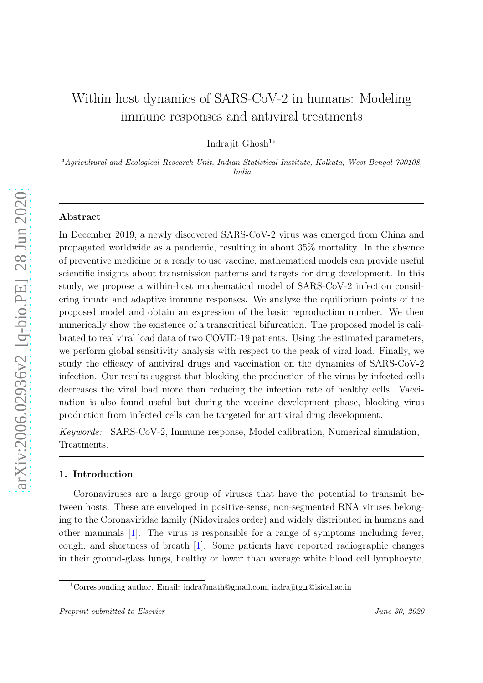# Within host dynamics of SARS-CoV-2 in humans: Modeling immune responses and antiviral treatments

Indrajit Ghosh<sup>1a</sup>

<sup>a</sup>Agricultural and Ecological Research Unit, Indian Statistical Institute, Kolkata, West Bengal 700108, India

# Abstract

In December 2019, a newly discovered SARS-CoV-2 virus was emerged from China and propagated worldwide as a pandemic, resulting in about 35% mortality. In the absence of preventive medicine or a ready to use vaccine, mathematical models can provide useful scientific insights about transmission patterns and targets for drug development. In this study, we propose a within-host mathematical model of SARS-CoV-2 infection considering innate and adaptive immune responses. We analyze the equilibrium points of the proposed model and obtain an expression of the basic reproduction number. We then numerically show the existence of a transcritical bifurcation. The proposed model is calibrated to real viral load data of two COVID-19 patients. Using the estimated parameters, we perform global sensitivity analysis with respect to the peak of viral load. Finally, we study the efficacy of antiviral drugs and vaccination on the dynamics of SARS-CoV-2 infection. Our results suggest that blocking the production of the virus by infected cells decreases the viral load more than reducing the infection rate of healthy cells. Vaccination is also found useful but during the vaccine development phase, blocking virus production from infected cells can be targeted for antiviral drug development.

*Keywords:* SARS-CoV-2, Immune response, Model calibration, Numerical simulation, Treatments.

# 1. Introduction

Coronaviruses are a large group of viruses that have the potential to transmit between hosts. These are enveloped in positive-sense, non-segmented RNA viruses belonging to the Coronaviridae family (Nidovirales order) and widely distributed in humans and other mammals [\[1\]](#page-14-0). The virus is responsible for a range of symptoms including fever, cough, and shortness of breath [\[1](#page-14-0)]. Some patients have reported radiographic changes in their ground-glass lungs, healthy or lower than average white blood cell lymphocyte,

<sup>&</sup>lt;sup>1</sup>Corresponding author. Email: indra7math@gmail.com, indrajitg r@isical.ac.in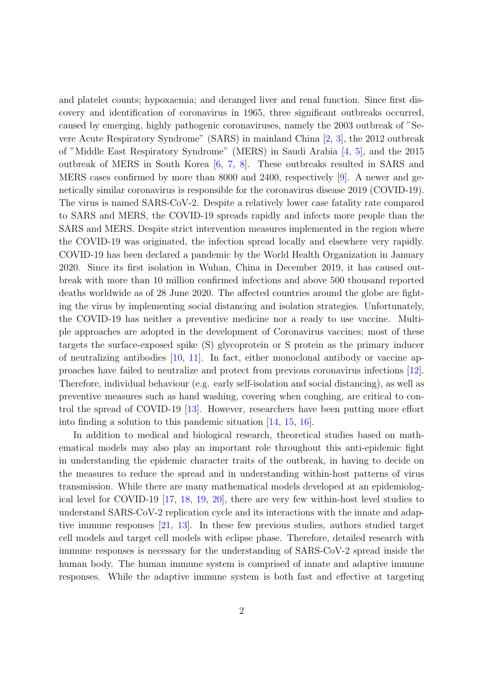and platelet counts; hypoxaemia; and deranged liver and renal function. Since first discovery and identification of coronavirus in 1965, three significant outbreaks occurred, caused by emerging, highly pathogenic coronaviruses, namely the 2003 outbreak of "Severe Acute Respiratory Syndrome" (SARS) in mainland China [\[2](#page-14-1), [3\]](#page-14-2), the 2012 outbreak of "Middle East Respiratory Syndrome" (MERS) in Saudi Arabia [\[4,](#page-14-3) [5\]](#page-14-4), and the 2015 outbreak of MERS in South Korea [\[6,](#page-14-5) [7,](#page-15-0) [8](#page-15-1)]. These outbreaks resulted in SARS and MERS cases confirmed by more than 8000 and 2400, respectively [\[9](#page-15-2)]. A newer and genetically similar coronavirus is responsible for the coronavirus disease 2019 (COVID-19). The virus is named SARS-CoV-2. Despite a relatively lower case fatality rate compared to SARS and MERS, the COVID-19 spreads rapidly and infects more people than the SARS and MERS. Despite strict intervention measures implemented in the region where the COVID-19 was originated, the infection spread locally and elsewhere very rapidly. COVID-19 has been declared a pandemic by the World Health Organization in January 2020. Since its first isolation in Wuhan, China in December 2019, it has caused outbreak with more than 10 million confirmed infections and above 500 thousand reported deaths worldwide as of 28 June 2020. The affected countries around the globe are fighting the virus by implementing social distancing and isolation strategies. Unfortunately, the COVID-19 has neither a preventive medicine nor a ready to use vaccine. Multiple approaches are adopted in the development of Coronavirus vaccines; most of these targets the surface-exposed spike (S) glycoprotein or S protein as the primary inducer of neutralizing antibodies [\[10,](#page-15-3) [11\]](#page-15-4). In fact, either monoclonal antibody or vaccine approaches have failed to neutralize and protect from previous coronavirus infections [\[12](#page-15-5)]. Therefore, individual behaviour (e.g. early self-isolation and social distancing), as well as preventive measures such as hand washing, covering when coughing, are critical to control the spread of COVID-19 [\[13](#page-15-6)]. However, researchers have been putting more effort into finding a solution to this pandemic situation [\[14](#page-15-7), [15,](#page-15-8) [16\]](#page-16-0).

In addition to medical and biological research, theoretical studies based on mathematical models may also play an important role throughout this anti-epidemic fight in understanding the epidemic character traits of the outbreak, in having to decide on the measures to reduce the spread and in understanding within-host patterns of virus transmission. While there are many mathematical models developed at an epidemiological level for COVID-19 [\[17,](#page-16-1) [18](#page-16-2), [19,](#page-16-3) [20](#page-16-4)], there are very few within-host level studies to understand SARS-CoV-2 replication cycle and its interactions with the innate and adaptive immune responses [\[21](#page-16-5), [13\]](#page-15-6). In these few previous studies, authors studied target cell models and target cell models with eclipse phase. Therefore, detailed research with immune responses is necessary for the understanding of SARS-CoV-2 spread inside the human body. The human immune system is comprised of innate and adaptive immune responses. While the adaptive immune system is both fast and effective at targeting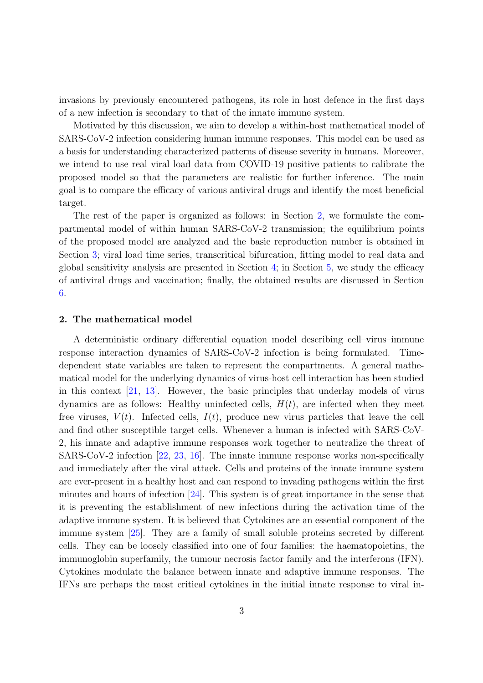invasions by previously encountered pathogens, its role in host defence in the first days of a new infection is secondary to that of the innate immune system.

Motivated by this discussion, we aim to develop a within-host mathematical model of SARS-CoV-2 infection considering human immune responses. This model can be used as a basis for understanding characterized patterns of disease severity in humans. Moreover, we intend to use real viral load data from COVID-19 positive patients to calibrate the proposed model so that the parameters are realistic for further inference. The main goal is to compare the efficacy of various antiviral drugs and identify the most beneficial target.

The rest of the paper is organized as follows: in Section [2,](#page-2-0) we formulate the compartmental model of within human SARS-CoV-2 transmission; the equilibrium points of the proposed model are analyzed and the basic reproduction number is obtained in Section [3;](#page-4-0) viral load time series, transcritical bifurcation, fitting model to real data and global sensitivity analysis are presented in Section [4;](#page-7-0) in Section [5,](#page-10-0) we study the efficacy of antiviral drugs and vaccination; finally, the obtained results are discussed in Section [6.](#page-12-0)

### <span id="page-2-0"></span>2. The mathematical model

A deterministic ordinary differential equation model describing cell–virus–immune response interaction dynamics of SARS-CoV-2 infection is being formulated. Timedependent state variables are taken to represent the compartments. A general mathematical model for the underlying dynamics of virus-host cell interaction has been studied in this context [\[21](#page-16-5), [13\]](#page-15-6). However, the basic principles that underlay models of virus dynamics are as follows: Healthy uninfected cells,  $H(t)$ , are infected when they meet free viruses,  $V(t)$ . Infected cells,  $I(t)$ , produce new virus particles that leave the cell and find other susceptible target cells. Whenever a human is infected with SARS-CoV-2, his innate and adaptive immune responses work together to neutralize the threat of SARS-CoV-2 infection [\[22](#page-16-6), [23](#page-16-7), [16\]](#page-16-0). The innate immune response works non-specifically and immediately after the viral attack. Cells and proteins of the innate immune system are ever-present in a healthy host and can respond to invading pathogens within the first minutes and hours of infection [\[24](#page-16-8)]. This system is of great importance in the sense that it is preventing the establishment of new infections during the activation time of the adaptive immune system. It is believed that Cytokines are an essential component of the immune system [\[25\]](#page-16-9). They are a family of small soluble proteins secreted by different cells. They can be loosely classified into one of four families: the haematopoietins, the immunoglobin superfamily, the tumour necrosis factor family and the interferons (IFN). Cytokines modulate the balance between innate and adaptive immune responses. The IFNs are perhaps the most critical cytokines in the initial innate response to viral in-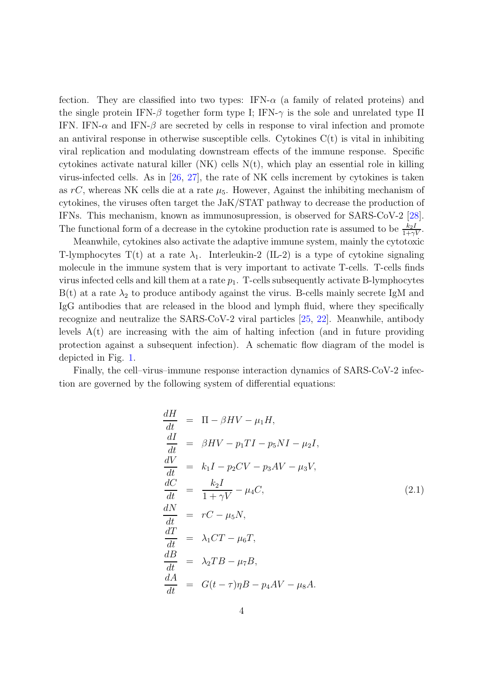fection. They are classified into two types: IFN- $\alpha$  (a family of related proteins) and the single protein IFN- $\beta$  together form type I; IFN- $\gamma$  is the sole and unrelated type II IFN. IFN- $\alpha$  and IFN- $\beta$  are secreted by cells in response to viral infection and promote an antiviral response in otherwise susceptible cells. Cytokines  $C(t)$  is vital in inhibiting viral replication and modulating downstream effects of the immune response. Specific cytokines activate natural killer  $(NK)$  cells  $N(t)$ , which play an essential role in killing virus-infected cells. As in [\[26](#page-16-10), [27\]](#page-17-0), the rate of NK cells increment by cytokines is taken as  $rC$ , whereas NK cells die at a rate  $\mu_5$ . However, Against the inhibiting mechanism of cytokines, the viruses often target the JaK/STAT pathway to decrease the production of IFNs. This mechanism, known as immunosupression, is observed for SARS-CoV-2 [\[28](#page-17-1)]. The functional form of a decrease in the cytokine production rate is assumed to be  $\frac{k_2 I}{1+\gamma V}$ .

Meanwhile, cytokines also activate the adaptive immune system, mainly the cytotoxic T-lymphocytes T(t) at a rate  $\lambda_1$ . Interleukin-2 (IL-2) is a type of cytokine signaling molecule in the immune system that is very important to activate T-cells. T-cells finds virus infected cells and kill them at a rate  $p_1$ . T-cells subsequently activate B-lymphocytes  $B(t)$  at a rate  $\lambda_2$  to produce antibody against the virus. B-cells mainly secrete IgM and IgG antibodies that are released in the blood and lymph fluid, where they specifically recognize and neutralize the SARS-CoV-2 viral particles [\[25,](#page-16-9) [22](#page-16-6)]. Meanwhile, antibody levels  $A(t)$  are increasing with the aim of halting infection (and in future providing protection against a subsequent infection). A schematic flow diagram of the model is depicted in Fig. [1.](#page-4-1)

Finally, the cell–virus–immune response interaction dynamics of SARS-CoV-2 infection are governed by the following system of differential equations:

<span id="page-3-0"></span>
$$
\frac{dH}{dt} = \Pi - \beta HV - \mu_1 H,
$$
\n
$$
\frac{dI}{dt} = \beta HV - p_1 TI - p_5 NI - \mu_2 I,
$$
\n
$$
\frac{dV}{dt} = k_1 I - p_2 CV - p_3 AV - \mu_3 V,
$$
\n
$$
\frac{dC}{dt} = \frac{k_2 I}{1 + \gamma V} - \mu_4 C,
$$
\n
$$
\frac{dN}{dt} = rC - \mu_5 N,
$$
\n
$$
\frac{dT}{dt} = \lambda_1 CT - \mu_6 T,
$$
\n
$$
\frac{dB}{dt} = \lambda_2 TB - \mu_7 B,
$$
\n
$$
\frac{dA}{dt} = G(t - \tau) \eta B - p_4 AV - \mu_8 A.
$$
\n(2.1)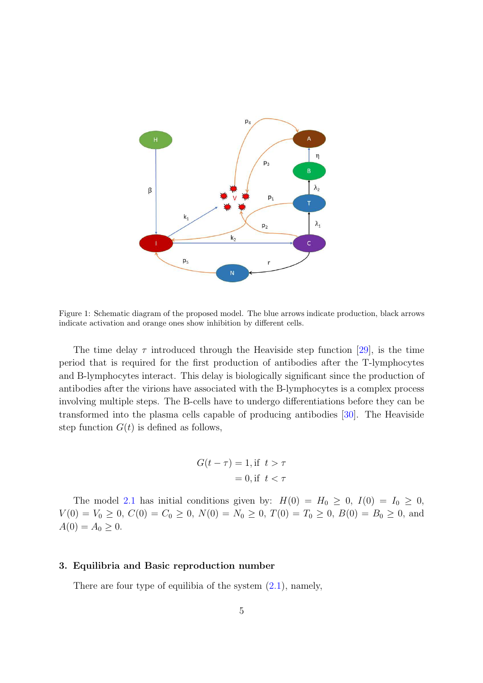

<span id="page-4-1"></span>Figure 1: Schematic diagram of the proposed model. The blue arrows indicate production, black arrows indicate activation and orange ones show inhibition by different cells.

The time delay  $\tau$  introduced through the Heaviside step function [\[29\]](#page-17-2), is the time period that is required for the first production of antibodies after the T-lymphocytes and B-lymphocytes interact. This delay is biologically significant since the production of antibodies after the virions have associated with the B-lymphocytes is a complex process involving multiple steps. The B-cells have to undergo differentiations before they can be transformed into the plasma cells capable of producing antibodies [\[30](#page-17-3)]. The Heaviside step function  $G(t)$  is defined as follows,

$$
G(t - \tau) = 1, \text{if } t > \tau
$$

$$
= 0, \text{if } t < \tau
$$

The model [2.1](#page-3-0) has initial conditions given by:  $H(0) = H_0 \ge 0$ ,  $I(0) = I_0 \ge 0$ ,  $V(0) = V_0 \ge 0, C(0) = C_0 \ge 0, N(0) = N_0 \ge 0, T(0) = T_0 \ge 0, B(0) = B_0 \ge 0, \text{ and}$  $A(0) = A_0 \geq 0.$ 

# <span id="page-4-0"></span>3. Equilibria and Basic reproduction number

There are four type of equilibia of the system  $(2.1)$ , namely,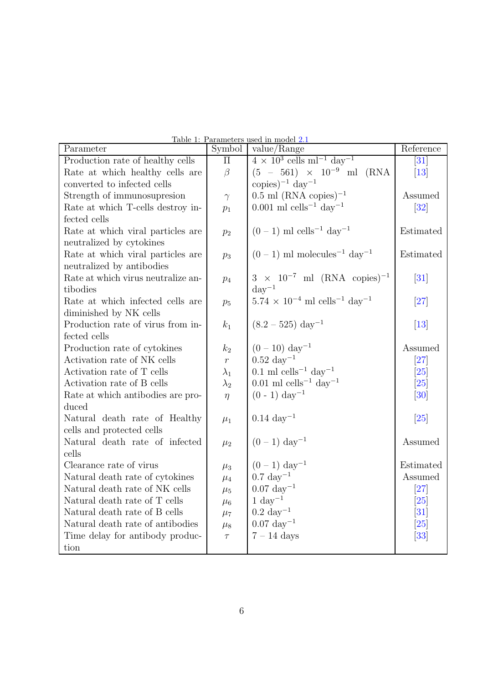| Parameter                          | $\overline{\text{Symbol}}$ | <u> Lable 1: Parameters used in model 2.1</u><br>value/Range      | Reference          |
|------------------------------------|----------------------------|-------------------------------------------------------------------|--------------------|
| Production rate of healthy cells   | $\prod$                    | $4 \times 10^3$ cells ml <sup>-1</sup> day <sup>-1</sup>          | $\left[ 31\right]$ |
| Rate at which healthy cells are    | $\beta$                    | $(5 - 561) \times 10^{-9}$ ml (RNA)                               | $[13]$             |
| converted to infected cells        |                            | copies) <sup><math>-1</math></sup> day <sup><math>-1</math></sup> |                    |
| Strength of immunosupresion        | $\gamma$                   | $(0.5 \text{ ml} (\text{RNA copies})^{-1})$                       | Assumed            |
| Rate at which T-cells destroy in-  | $p_1$                      | $0.001$ ml cells <sup>-1</sup> day <sup>-1</sup>                  | $\left[32\right]$  |
| fected cells                       |                            |                                                                   |                    |
| Rate at which viral particles are  | $p_2$                      | $(0-1)$ ml cells <sup>-1</sup> day <sup>-1</sup>                  | Estimated          |
| neutralized by cytokines           |                            |                                                                   |                    |
| Rate at which viral particles are  | $p_3$                      | $(0-1)$ ml molecules <sup>-1</sup> day <sup>-1</sup>              | Estimated          |
| neutralized by antibodies          |                            |                                                                   |                    |
| Rate at which virus neutralize an- | $p_4$                      | $3 \times 10^{-7}$ ml (RNA copies) <sup>-1</sup>                  | $\left[31\right]$  |
| tibodies                           |                            | $\mathrm{day}^{-1}$                                               |                    |
| Rate at which infected cells are   | $p_5$                      | $5.74\,\times\,10^{-4}$ ml $\rm{cells^{-1}}$<br>$\rm{day^{-1}}$   | [27]               |
| diminished by NK cells             |                            |                                                                   |                    |
| Production rate of virus from in-  | $k_1$                      | $(8.2 - 525) \text{ day}^{-1}$                                    | $[13]$             |
| fected cells                       |                            |                                                                   |                    |
| Production rate of cytokines       | $k_2$                      | $(0-10) \text{ day}^{-1}$                                         | Assumed            |
| Activation rate of NK cells        | $\,r\,$                    | $0.52 \ \text{day}^{-1}$                                          | [27]               |
| Activation rate of T cells         | $\lambda_1$                | $0.1$ ml cells <sup>-1</sup> day <sup>-1</sup>                    | $\left[ 25\right]$ |
| Activation rate of B cells         | $\lambda_2$                | $0.01$ ml cells <sup>-1</sup> day <sup>-1</sup>                   | $\left[ 25\right]$ |
| Rate at which antibodies are pro-  | $\eta$                     | $(0 - 1) \text{ day}^{-1}$                                        | $\left[30\right]$  |
| duced                              |                            |                                                                   |                    |
| Natural death rate of Healthy      | $\mu_1$                    | $0.14~\rm{day}^{-1}$                                              | $\left[25\right]$  |
| cells and protected cells          |                            |                                                                   |                    |
| Natural death rate of infected     | $\mu_2$                    | $(0-1) \text{ day}^{-1}$                                          | Assumed            |
| cells                              |                            |                                                                   |                    |
| Clearance rate of virus            | $\mu_3$                    | $(0-1) \;{\rm day}^{-1}$                                          | Estimated          |
| Natural death rate of cytokines    | $\mu_4$                    | $0.7 \text{ day}^{-1}$                                            | Assumed            |
| Natural death rate of NK cells     | $\mu_5$                    | $0.07 \text{ day}^{-1}$                                           | $\left[ 27\right]$ |
| Natural death rate of T cells      | $\mu_6$                    | $1 \mathrm{day}^{-1}$                                             | $\left[25\right]$  |
| Natural death rate of B cells      | $\mu_7$                    | $0.2 \ \text{day}^{-1}$                                           | $\left[31\right]$  |
| Natural death rate of antibodies   | $\mu_8$                    | $0.07 \text{ day}^{-1}$                                           | $\left[ 25\right]$ |
| Time delay for antibody produc-    | $\tau$                     | $7 - 14$ days                                                     | $\left[33\right]$  |
| tion                               |                            |                                                                   |                    |

<span id="page-5-0"></span>

| Table 1: Parameters used in model 2.1 |  |  |
|---------------------------------------|--|--|
|                                       |  |  |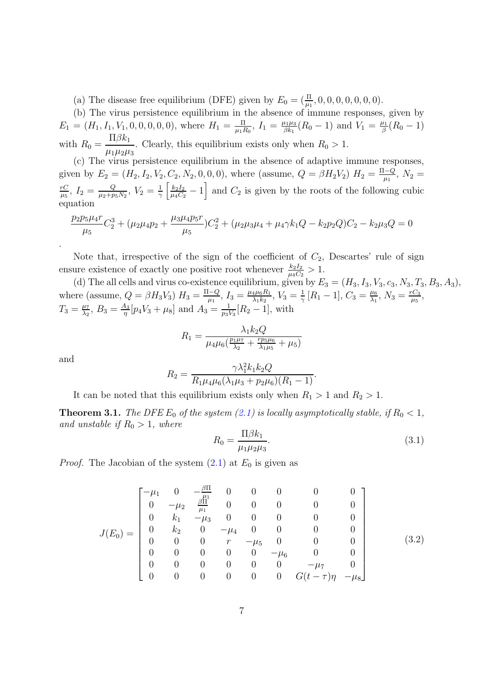(a) The disease free equilibrium (DFE) given by  $E_0 = (\frac{\Pi}{\mu_1}, 0, 0, 0, 0, 0, 0, 0)$ .

(b) The virus persistence equilibrium in the absence of immune responses, given by  $E_1 = (H_1, I_1, V_1, 0, 0, 0, 0, 0)$ , where  $H_1 = \frac{\Pi}{\mu_1 H}$  $\frac{\Pi}{\mu_1 R_0},\; I_1=\frac{\mu_1 \mu_3}{\beta k_1}$  $\frac{\mu_1\mu_3}{\beta k_1}(R_0-1)$  and  $V_1 = \frac{\mu_1}{\beta}$  $\frac{\mu_1}{\beta}(R_0-1)$ with  $R_0 =$  $\Pi\beta k_1$  $\mu_1\mu_2\mu_3$ . Clearly, this equilibrium exists only when  $R_0 > 1$ .

(c) The virus persistence equilibrium in the absence of adaptive immune responses, given by  $E_2 = (H_2, I_2, V_2, C_2, N_2, 0, 0, 0)$ , where (assume,  $Q = \beta H_2 V_2$ )  $H_2 = \frac{\Pi - Q}{m}$  $\frac{1-Q}{\mu_1},\ N_2=$ rC  $\frac{rC}{\mu_5},~I_2=\frac{Q}{\mu_2+p_2}$  $\frac{Q}{\mu_2+p_5N_2},\ V_2=\frac{1}{\gamma}$  $\frac{1}{\gamma} \left[ \frac{k_2 I_2}{\mu_4 C_2} \right]$  $\frac{k_2 I_2}{\mu_4 C_2} - 1$  and  $C_2$  is given by the roots of the following cubic equation

$$
\frac{p_2 p_5 \mu_4 r}{\mu_5} C_2^3 + (\mu_2 \mu_4 p_2 + \frac{\mu_3 \mu_4 p_5 r}{\mu_5}) C_2^2 + (\mu_2 \mu_3 \mu_4 + \mu_4 \gamma k_1 Q - k_2 p_2 Q) C_2 - k_2 \mu_3 Q = 0
$$

Note that, irrespective of the sign of the coefficient of  $C_2$ , Descartes' rule of sign ensure existence of exactly one positive root whenever  $\frac{k_2 I_2}{\mu_4 C_2} > 1$ .

(d) The all cells and virus co-existence equilibrium, given by  $E_3 = (H_3, I_3, V_3, c_3, N_3, T_3, B_3, A_3)$ , where (assume,  $Q = \beta H_3 V_3$ )  $H_3 = \frac{\Pi - Q}{W_3}$  $\frac{1-Q}{\mu_1},\,I_3=\frac{\mu_4\mu_6R_1}{\lambda_1k_2}$  $\frac{4\mu_6 R_1}{\lambda_1 k_2},\,V_3=\frac{1}{\gamma}$  $\frac{1}{\gamma} [R_1 - 1], C_3 = \frac{\mu_6}{\lambda_1}$  $\frac{\mu_6}{\lambda_1},\, N_3=\frac{rC_3}{\mu_5}$  $\frac{C_3}{\mu_5},$  $T_3 = \frac{\mu_7}{\lambda_2}$  $\frac{\mu_7}{\lambda_2},\ B_3=\frac{A_3}{\eta}$  $\frac{43}{\eta} [p_4 V_3 + \mu_8]$  and  $A_3 = \frac{1}{p_3 V_3}$  $\frac{1}{p_3 V_3}[R_2-1]$ , with

$$
R_1 = \frac{\lambda_1 k_2 Q}{\mu_4 \mu_6 (\frac{p_1 \mu_7}{\lambda_2} + \frac{r p_5 \mu_6}{\lambda_1 \mu_5} + \mu_5)}
$$

and

.

$$
R_2 = \frac{\gamma \lambda_1^2 k_1 k_2 Q}{R_1 \mu_4 \mu_6 (\lambda_1 \mu_3 + p_2 \mu_6)(R_1 - 1)}.
$$

It can be noted that this equilibrium exists only when  $R_1 > 1$  and  $R_2 > 1$ .

**Theorem 3.1.** *The DFE*  $E_0$  *of the system* [\(2.1\)](#page-3-0) *is locally asymptotically stable, if*  $R_0 < 1$ *, and unstable if*  $R_0 > 1$ *, where* 

$$
R_0 = \frac{\Pi \beta k_1}{\mu_1 \mu_2 \mu_3}.\tag{3.1}
$$

*Proof.* The Jacobian of the system  $(2.1)$  at  $E_0$  is given as

$$
J(E_0) = \begin{bmatrix} -\mu_1 & 0 & -\frac{\beta \Pi}{\mu_1} & 0 & 0 & 0 & 0 & 0 \\ 0 & -\mu_2 & \frac{\beta \Pi}{\mu_1} & 0 & 0 & 0 & 0 & 0 \\ 0 & k_1 & -\mu_3 & 0 & 0 & 0 & 0 & 0 \\ 0 & k_2 & 0 & -\mu_4 & 0 & 0 & 0 & 0 \\ 0 & 0 & 0 & r & -\mu_5 & 0 & 0 & 0 \\ 0 & 0 & 0 & 0 & 0 & -\mu_6 & 0 & 0 \\ 0 & 0 & 0 & 0 & 0 & 0 & -\mu_7 & 0 \\ 0 & 0 & 0 & 0 & 0 & 0 & G(t-\tau)\eta & -\mu_8 \end{bmatrix}
$$
(3.2)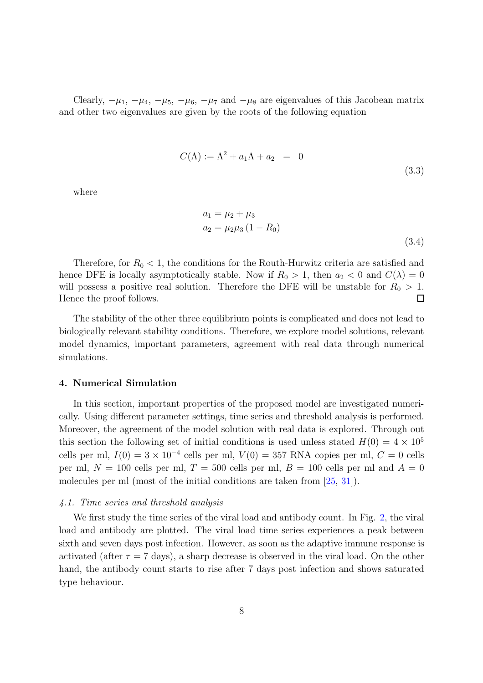Clearly,  $-\mu_1$ ,  $-\mu_4$ ,  $-\mu_5$ ,  $-\mu_6$ ,  $-\mu_7$  and  $-\mu_8$  are eigenvalues of this Jacobean matrix and other two eigenvalues are given by the roots of the following equation

$$
C(\Lambda) := \Lambda^2 + a_1 \Lambda + a_2 = 0
$$
\n(3.3)

where

$$
a_1 = \mu_2 + \mu_3
$$
  
\n
$$
a_2 = \mu_2 \mu_3 (1 - R_0)
$$
  
\n(3.4)

Therefore, for  $R_0 < 1$ , the conditions for the Routh-Hurwitz criteria are satisfied and hence DFE is locally asymptotically stable. Now if  $R_0 > 1$ , then  $a_2 < 0$  and  $C(\lambda) = 0$ will possess a positive real solution. Therefore the DFE will be unstable for  $R_0 > 1$ . Hence the proof follows. П

The stability of the other three equilibrium points is complicated and does not lead to biologically relevant stability conditions. Therefore, we explore model solutions, relevant model dynamics, important parameters, agreement with real data through numerical simulations.

### <span id="page-7-0"></span>4. Numerical Simulation

In this section, important properties of the proposed model are investigated numerically. Using different parameter settings, time series and threshold analysis is performed. Moreover, the agreement of the model solution with real data is explored. Through out this section the following set of initial conditions is used unless stated  $H(0) = 4 \times 10^5$ cells per ml,  $I(0) = 3 \times 10^{-4}$  cells per ml,  $V(0) = 357$  RNA copies per ml,  $C = 0$  cells per ml,  $N = 100$  cells per ml,  $T = 500$  cells per ml,  $B = 100$  cells per ml and  $A = 0$ molecules per ml (most of the initial conditions are taken from [\[25](#page-16-9), [31](#page-17-4)]).

## *4.1. Time series and threshold analysis*

We first study the time series of the viral load and antibody count. In Fig. [2,](#page-8-0) the viral load and antibody are plotted. The viral load time series experiences a peak between sixth and seven days post infection. However, as soon as the adaptive immune response is activated (after  $\tau = 7$  days), a sharp decrease is observed in the viral load. On the other hand, the antibody count starts to rise after 7 days post infection and shows saturated type behaviour.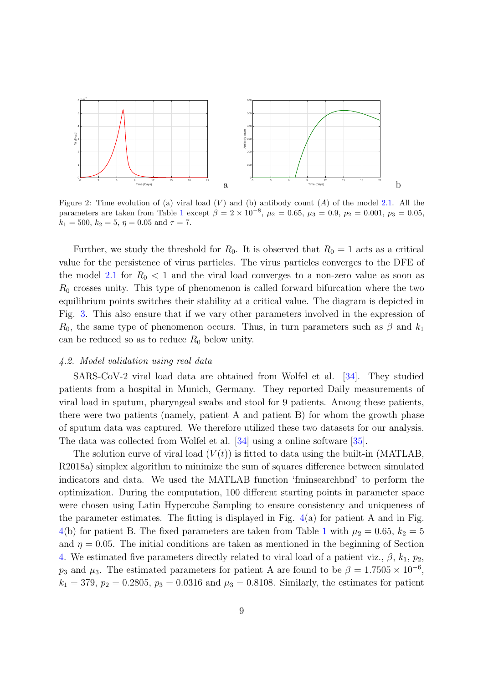

<span id="page-8-0"></span>Figure 2: Time evolution of (a) viral load  $(V)$  and (b) antibody count  $(A)$  of the model [2.1.](#page-3-0) All the parameters are taken from Table [1](#page-5-0) except  $\beta = 2 \times 10^{-8}$ ,  $\mu_2 = 0.65$ ,  $\mu_3 = 0.9$ ,  $p_2 = 0.001$ ,  $p_3 = 0.05$ ,  $k_1 = 500, k_2 = 5, \eta = 0.05 \text{ and } \tau = 7.$ 

Further, we study the threshold for  $R_0$ . It is observed that  $R_0 = 1$  acts as a critical value for the persistence of virus particles. The virus particles converges to the DFE of the model [2.1](#page-3-0) for  $R_0 < 1$  and the viral load converges to a non-zero value as soon as  $R_0$  crosses unity. This type of phenomenon is called forward bifurcation where the two equilibrium points switches their stability at a critical value. The diagram is depicted in Fig. [3.](#page-9-0) This also ensure that if we vary other parameters involved in the expression of  $R_0$ , the same type of phenomenon occurs. Thus, in turn parameters such as  $\beta$  and  $k_1$ can be reduced so as to reduce  $R_0$  below unity.

## *4.2. Model validation using real data*

SARS-CoV-2 viral load data are obtained from Wolfel et al. [\[34](#page-17-7)]. They studied patients from a hospital in Munich, Germany. They reported Daily measurements of viral load in sputum, pharyngeal swabs and stool for 9 patients. Among these patients, there were two patients (namely, patient A and patient B) for whom the growth phase of sputum data was captured. We therefore utilized these two datasets for our analysis. The data was collected from Wolfel et al. [\[34\]](#page-17-7) using a online software [\[35\]](#page-17-8).

The solution curve of viral load  $(V(t))$  is fitted to data using the built-in (MATLAB, R2018a) simplex algorithm to minimize the sum of squares difference between simulated indicators and data. We used the MATLAB function 'fminsearchbnd' to perform the optimization. During the computation, 100 different starting points in parameter space were chosen using Latin Hypercube Sampling to ensure consistency and uniqueness of the parameter estimates. The fitting is displayed in Fig.  $4(a)$  $4(a)$  for patient A and in Fig. [4\(](#page-10-1)b) for patient B. The fixed parameters are taken from Table [1](#page-5-0) with  $\mu_2 = 0.65, k_2 = 5$ and  $\eta = 0.05$ . The initial conditions are taken as mentioned in the beginning of Section [4.](#page-7-0) We estimated five parameters directly related to viral load of a patient viz.,  $\beta$ ,  $k_1$ ,  $p_2$ ,  $p_3$  and  $\mu_3$ . The estimated parameters for patient A are found to be  $\beta = 1.7505 \times 10^{-6}$ ,  $k_1 = 379, p_2 = 0.2805, p_3 = 0.0316$  and  $\mu_3 = 0.8108$ . Similarly, the estimates for patient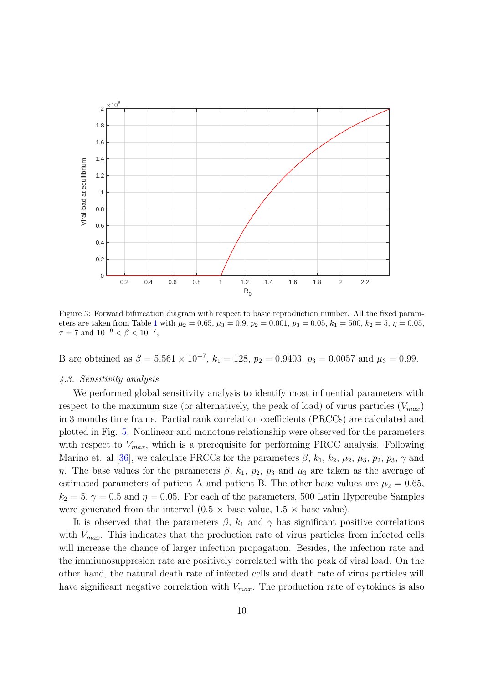

<span id="page-9-0"></span>Figure 3: Forward bifurcation diagram with respect to basic reproduction number. All the fixed param-eters are taken from Table [1](#page-5-0) with  $\mu_2 = 0.65$ ,  $\mu_3 = 0.9$ ,  $p_2 = 0.001$ ,  $p_3 = 0.05$ ,  $k_1 = 500$ ,  $k_2 = 5$ ,  $\eta = 0.05$ ,  $\tau = 7$  and  $10^{-9} < \beta < 10^{-7}$ ,

B are obtained as  $\beta = 5.561 \times 10^{-7}$ ,  $k_1 = 128$ ,  $p_2 = 0.9403$ ,  $p_3 = 0.0057$  and  $\mu_3 = 0.99$ .

## *4.3. Sensitivity analysis*

We performed global sensitivity analysis to identify most influential parameters with respect to the maximum size (or alternatively, the peak of load) of virus particles  $(V_{max})$ in 3 months time frame. Partial rank correlation coefficients (PRCCs) are calculated and plotted in Fig. [5.](#page-11-0) Nonlinear and monotone relationship were observed for the parameters with respect to  $V_{max}$ , which is a prerequisite for performing PRCC analysis. Following Marino et. al [\[36\]](#page-17-9), we calculate PRCCs for the parameters  $\beta$ ,  $k_1$ ,  $k_2$ ,  $\mu_2$ ,  $\mu_3$ ,  $p_2$ ,  $p_3$ ,  $\gamma$  and η. The base values for the parameters  $\beta$ ,  $k_1$ ,  $p_2$ ,  $p_3$  and  $\mu_3$  are taken as the average of estimated parameters of patient A and patient B. The other base values are  $\mu_2 = 0.65$ ,  $k_2 = 5$ ,  $\gamma = 0.5$  and  $\eta = 0.05$ . For each of the parameters, 500 Latin Hypercube Samples were generated from the interval  $(0.5 \times \text{base value}, 1.5 \times \text{base value})$ .

It is observed that the parameters  $\beta$ ,  $k_1$  and  $\gamma$  has significant positive correlations with  $V_{max}$ . This indicates that the production rate of virus particles from infected cells will increase the chance of larger infection propagation. Besides, the infection rate and the immiunosuppresion rate are positively correlated with the peak of viral load. On the other hand, the natural death rate of infected cells and death rate of virus particles will have significant negative correlation with  $V_{max}$ . The production rate of cytokines is also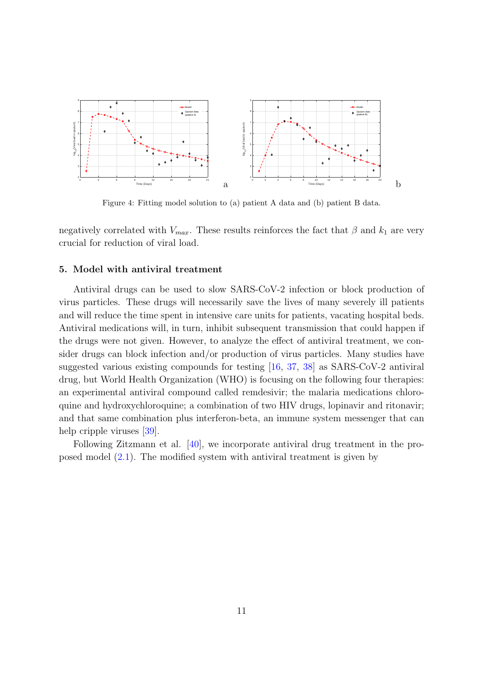

<span id="page-10-1"></span>Figure 4: Fitting model solution to (a) patient A data and (b) patient B data.

negatively correlated with  $V_{max}$ . These results reinforces the fact that  $\beta$  and  $k_1$  are very crucial for reduction of viral load.

### <span id="page-10-0"></span>5. Model with antiviral treatment

Antiviral drugs can be used to slow SARS-CoV-2 infection or block production of virus particles. These drugs will necessarily save the lives of many severely ill patients and will reduce the time spent in intensive care units for patients, vacating hospital beds. Antiviral medications will, in turn, inhibit subsequent transmission that could happen if the drugs were not given. However, to analyze the effect of antiviral treatment, we consider drugs can block infection and/or production of virus particles. Many studies have suggested various existing compounds for testing [\[16,](#page-16-0) [37](#page-17-10), [38](#page-18-0)] as SARS-CoV-2 antiviral drug, but World Health Organization (WHO) is focusing on the following four therapies: an experimental antiviral compound called remdesivir; the malaria medications chloroquine and hydroxychloroquine; a combination of two HIV drugs, lopinavir and ritonavir; and that same combination plus interferon-beta, an immune system messenger that can help cripple viruses [\[39](#page-18-1)].

Following Zitzmann et al. [\[40](#page-18-2)], we incorporate antiviral drug treatment in the proposed model [\(2.1\)](#page-3-0). The modified system with antiviral treatment is given by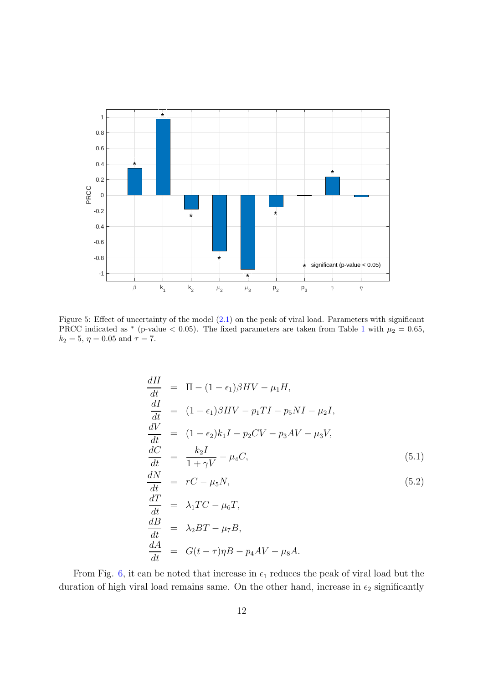

<span id="page-11-0"></span>Figure 5: Effect of uncertainty of the model [\(2.1\)](#page-3-0) on the peak of viral load. Parameters with significant PRCC indicated as \* (p-value < 0.05). The fixed parameters are taken from Table [1](#page-5-0) with  $\mu_2 = 0.65$ ,  $k_2 = 5, \eta = 0.05 \text{ and } \tau = 7.$ 

$$
\frac{dH}{dt} = \Pi - (1 - \epsilon_1)\beta HV - \mu_1 H,
$$
\n
$$
\frac{dI}{dt} = (1 - \epsilon_1)\beta HV - p_1 TI - p_5 NI - \mu_2 I,
$$
\n
$$
\frac{dV}{dt} = (1 - \epsilon_2)k_1 I - p_2 CV - p_3 AV - \mu_3 V,
$$
\n
$$
\frac{dC}{dt} = \frac{k_2 I}{1 + \gamma V} - \mu_4 C,
$$
\n(5.1)\n
$$
\frac{dN}{dt} = rC - \mu_5 N,
$$
\n(5.2)\n
$$
\frac{dT}{dt} = \lambda_1 TC - \mu_6 T,
$$
\n
$$
\frac{dB}{dt} = \lambda_2 BT - \mu_7 B,
$$

$$
\frac{dA}{dt} = G(t-\tau)\eta B - p_4AV - \mu_8 A.
$$

From Fig. [6,](#page-12-1) it can be noted that increase in  $\epsilon_1$  reduces the peak of viral load but the duration of high viral load remains same. On the other hand, increase in  $\epsilon_2$  significantly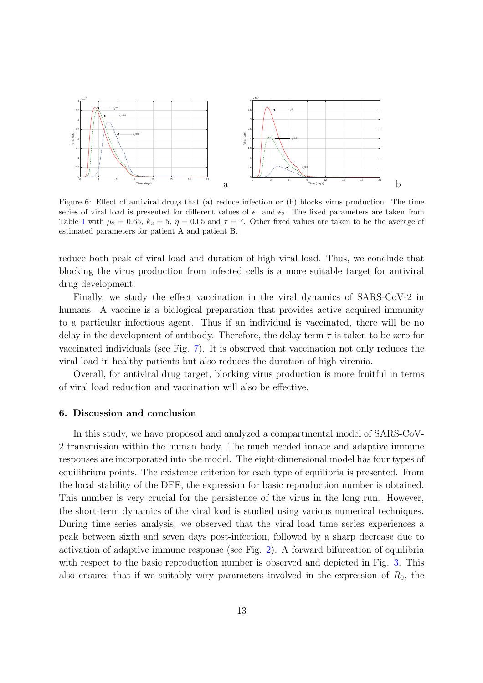

<span id="page-12-1"></span>Figure 6: Effect of antiviral drugs that (a) reduce infection or (b) blocks virus production. The time series of viral load is presented for different values of  $\epsilon_1$  and  $\epsilon_2$ . The fixed parameters are taken from Table [1](#page-5-0) with  $\mu_2 = 0.65$ ,  $k_2 = 5$ ,  $\eta = 0.05$  and  $\tau = 7$ . Other fixed values are taken to be the average of estimated parameters for patient A and patient B.

reduce both peak of viral load and duration of high viral load. Thus, we conclude that blocking the virus production from infected cells is a more suitable target for antiviral drug development.

Finally, we study the effect vaccination in the viral dynamics of SARS-CoV-2 in humans. A vaccine is a biological preparation that provides active acquired immunity to a particular infectious agent. Thus if an individual is vaccinated, there will be no delay in the development of antibody. Therefore, the delay term  $\tau$  is taken to be zero for vaccinated individuals (see Fig. [7\)](#page-13-0). It is observed that vaccination not only reduces the viral load in healthy patients but also reduces the duration of high viremia.

Overall, for antiviral drug target, blocking virus production is more fruitful in terms of viral load reduction and vaccination will also be effective.

#### <span id="page-12-0"></span>6. Discussion and conclusion

In this study, we have proposed and analyzed a compartmental model of SARS-CoV-2 transmission within the human body. The much needed innate and adaptive immune responses are incorporated into the model. The eight-dimensional model has four types of equilibrium points. The existence criterion for each type of equilibria is presented. From the local stability of the DFE, the expression for basic reproduction number is obtained. This number is very crucial for the persistence of the virus in the long run. However, the short-term dynamics of the viral load is studied using various numerical techniques. During time series analysis, we observed that the viral load time series experiences a peak between sixth and seven days post-infection, followed by a sharp decrease due to activation of adaptive immune response (see Fig. [2\)](#page-8-0). A forward bifurcation of equilibria with respect to the basic reproduction number is observed and depicted in Fig. [3.](#page-9-0) This also ensures that if we suitably vary parameters involved in the expression of  $R_0$ , the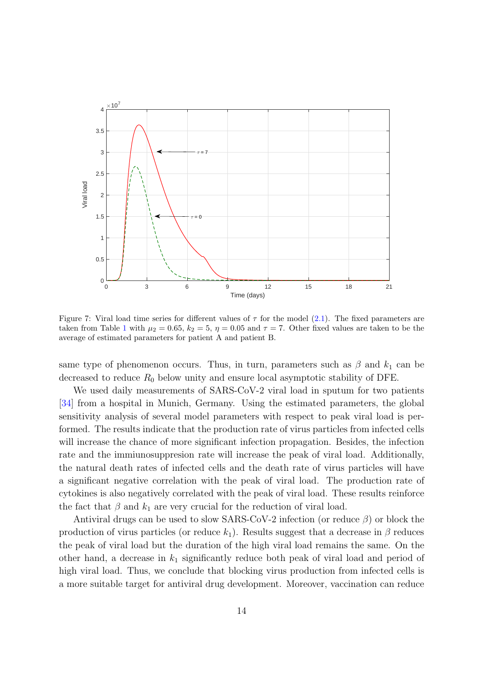

<span id="page-13-0"></span>Figure 7: Viral load time series for different values of  $\tau$  for the model [\(2.1\)](#page-3-0). The fixed parameters are taken from Table [1](#page-5-0) with  $\mu_2 = 0.65$ ,  $k_2 = 5$ ,  $\eta = 0.05$  and  $\tau = 7$ . Other fixed values are taken to be the average of estimated parameters for patient A and patient B.

same type of phenomenon occurs. Thus, in turn, parameters such as  $\beta$  and  $k_1$  can be decreased to reduce  $R_0$  below unity and ensure local asymptotic stability of DFE.

We used daily measurements of SARS-CoV-2 viral load in sputum for two patients [\[34\]](#page-17-7) from a hospital in Munich, Germany. Using the estimated parameters, the global sensitivity analysis of several model parameters with respect to peak viral load is performed. The results indicate that the production rate of virus particles from infected cells will increase the chance of more significant infection propagation. Besides, the infection rate and the immiunosuppresion rate will increase the peak of viral load. Additionally, the natural death rates of infected cells and the death rate of virus particles will have a significant negative correlation with the peak of viral load. The production rate of cytokines is also negatively correlated with the peak of viral load. These results reinforce the fact that  $\beta$  and  $k_1$  are very crucial for the reduction of viral load.

Antiviral drugs can be used to slow SARS-CoV-2 infection (or reduce  $\beta$ ) or block the production of virus particles (or reduce  $k_1$ ). Results suggest that a decrease in  $\beta$  reduces the peak of viral load but the duration of the high viral load remains the same. On the other hand, a decrease in  $k_1$  significantly reduce both peak of viral load and period of high viral load. Thus, we conclude that blocking virus production from infected cells is a more suitable target for antiviral drug development. Moreover, vaccination can reduce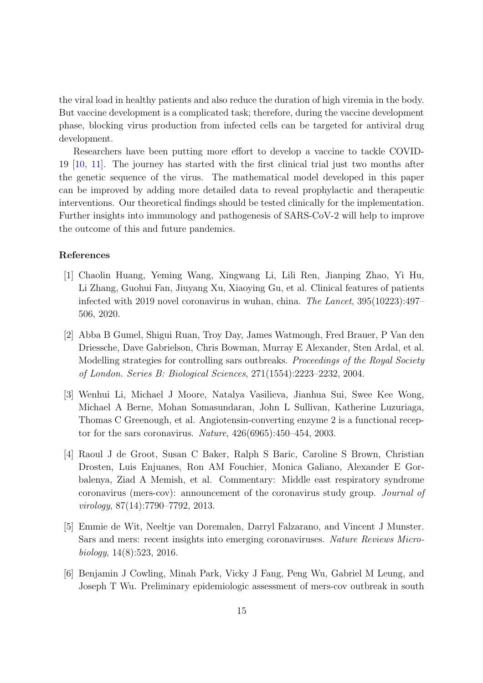the viral load in healthy patients and also reduce the duration of high viremia in the body. But vaccine development is a complicated task; therefore, during the vaccine development phase, blocking virus production from infected cells can be targeted for antiviral drug development.

Researchers have been putting more effort to develop a vaccine to tackle COVID-19 [\[10](#page-15-3), [11](#page-15-4)]. The journey has started with the first clinical trial just two months after the genetic sequence of the virus. The mathematical model developed in this paper can be improved by adding more detailed data to reveal prophylactic and therapeutic interventions. Our theoretical findings should be tested clinically for the implementation. Further insights into immunology and pathogenesis of SARS-CoV-2 will help to improve the outcome of this and future pandemics.

# References

- <span id="page-14-0"></span>[1] Chaolin Huang, Yeming Wang, Xingwang Li, Lili Ren, Jianping Zhao, Yi Hu, Li Zhang, Guohui Fan, Jiuyang Xu, Xiaoying Gu, et al. Clinical features of patients infected with 2019 novel coronavirus in wuhan, china. *The Lancet*, 395(10223):497– 506, 2020.
- <span id="page-14-1"></span>[2] Abba B Gumel, Shigui Ruan, Troy Day, James Watmough, Fred Brauer, P Van den Driessche, Dave Gabrielson, Chris Bowman, Murray E Alexander, Sten Ardal, et al. Modelling strategies for controlling sars outbreaks. *Proceedings of the Royal Society of London. Series B: Biological Sciences*, 271(1554):2223–2232, 2004.
- <span id="page-14-2"></span>[3] Wenhui Li, Michael J Moore, Natalya Vasilieva, Jianhua Sui, Swee Kee Wong, Michael A Berne, Mohan Somasundaran, John L Sullivan, Katherine Luzuriaga, Thomas C Greenough, et al. Angiotensin-converting enzyme 2 is a functional receptor for the sars coronavirus. *Nature*, 426(6965):450–454, 2003.
- <span id="page-14-3"></span>[4] Raoul J de Groot, Susan C Baker, Ralph S Baric, Caroline S Brown, Christian Drosten, Luis Enjuanes, Ron AM Fouchier, Monica Galiano, Alexander E Gorbalenya, Ziad A Memish, et al. Commentary: Middle east respiratory syndrome coronavirus (mers-cov): announcement of the coronavirus study group. *Journal of virology*, 87(14):7790–7792, 2013.
- <span id="page-14-4"></span>[5] Emmie de Wit, Neeltje van Doremalen, Darryl Falzarano, and Vincent J Munster. Sars and mers: recent insights into emerging coronaviruses. *Nature Reviews Microbiology*, 14(8):523, 2016.
- <span id="page-14-5"></span>[6] Benjamin J Cowling, Minah Park, Vicky J Fang, Peng Wu, Gabriel M Leung, and Joseph T Wu. Preliminary epidemiologic assessment of mers-cov outbreak in south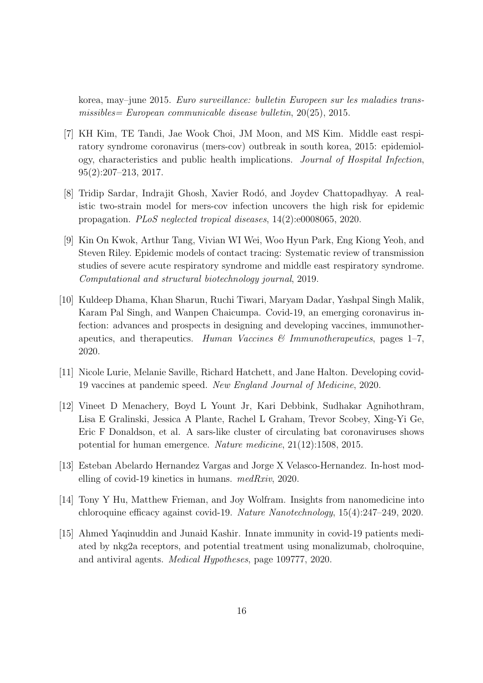korea, may–june 2015. *Euro surveillance: bulletin Europeen sur les maladies transmissibles= European communicable disease bulletin*, 20(25), 2015.

- <span id="page-15-0"></span>[7] KH Kim, TE Tandi, Jae Wook Choi, JM Moon, and MS Kim. Middle east respiratory syndrome coronavirus (mers-cov) outbreak in south korea, 2015: epidemiology, characteristics and public health implications. *Journal of Hospital Infection*, 95(2):207–213, 2017.
- <span id="page-15-1"></span>[8] Tridip Sardar, Indrajit Ghosh, Xavier Rodó, and Joydev Chattopadhyay. A realistic two-strain model for mers-cov infection uncovers the high risk for epidemic propagation. *PLoS neglected tropical diseases*, 14(2):e0008065, 2020.
- <span id="page-15-2"></span>[9] Kin On Kwok, Arthur Tang, Vivian WI Wei, Woo Hyun Park, Eng Kiong Yeoh, and Steven Riley. Epidemic models of contact tracing: Systematic review of transmission studies of severe acute respiratory syndrome and middle east respiratory syndrome. *Computational and structural biotechnology journal*, 2019.
- <span id="page-15-3"></span>[10] Kuldeep Dhama, Khan Sharun, Ruchi Tiwari, Maryam Dadar, Yashpal Singh Malik, Karam Pal Singh, and Wanpen Chaicumpa. Covid-19, an emerging coronavirus infection: advances and prospects in designing and developing vaccines, immunotherapeutics, and therapeutics. *Human Vaccines & Immunotherapeutics*, pages 1–7, 2020.
- <span id="page-15-4"></span>[11] Nicole Lurie, Melanie Saville, Richard Hatchett, and Jane Halton. Developing covid-19 vaccines at pandemic speed. *New England Journal of Medicine*, 2020.
- <span id="page-15-5"></span>[12] Vineet D Menachery, Boyd L Yount Jr, Kari Debbink, Sudhakar Agnihothram, Lisa E Gralinski, Jessica A Plante, Rachel L Graham, Trevor Scobey, Xing-Yi Ge, Eric F Donaldson, et al. A sars-like cluster of circulating bat coronaviruses shows potential for human emergence. *Nature medicine*, 21(12):1508, 2015.
- <span id="page-15-6"></span>[13] Esteban Abelardo Hernandez Vargas and Jorge X Velasco-Hernandez. In-host modelling of covid-19 kinetics in humans. *medRxiv*, 2020.
- <span id="page-15-7"></span>[14] Tony Y Hu, Matthew Frieman, and Joy Wolfram. Insights from nanomedicine into chloroquine efficacy against covid-19. *Nature Nanotechnology*, 15(4):247–249, 2020.
- <span id="page-15-8"></span>[15] Ahmed Yaqinuddin and Junaid Kashir. Innate immunity in covid-19 patients mediated by nkg2a receptors, and potential treatment using monalizumab, cholroquine, and antiviral agents. *Medical Hypotheses*, page 109777, 2020.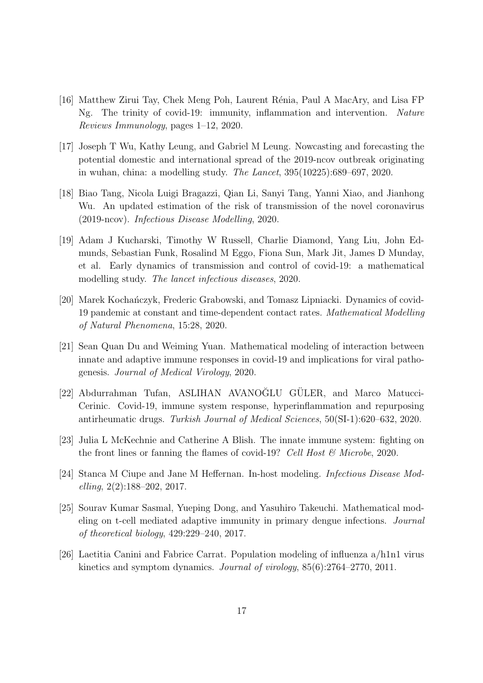- <span id="page-16-0"></span>[16] Matthew Zirui Tay, Chek Meng Poh, Laurent R´enia, Paul A MacAry, and Lisa FP Ng. The trinity of covid-19: immunity, inflammation and intervention. *Nature Reviews Immunology*, pages 1–12, 2020.
- <span id="page-16-1"></span>[17] Joseph T Wu, Kathy Leung, and Gabriel M Leung. Nowcasting and forecasting the potential domestic and international spread of the 2019-ncov outbreak originating in wuhan, china: a modelling study. *The Lancet*, 395(10225):689–697, 2020.
- <span id="page-16-2"></span>[18] Biao Tang, Nicola Luigi Bragazzi, Qian Li, Sanyi Tang, Yanni Xiao, and Jianhong Wu. An updated estimation of the risk of transmission of the novel coronavirus (2019-ncov). *Infectious Disease Modelling*, 2020.
- <span id="page-16-3"></span>[19] Adam J Kucharski, Timothy W Russell, Charlie Diamond, Yang Liu, John Edmunds, Sebastian Funk, Rosalind M Eggo, Fiona Sun, Mark Jit, James D Munday, et al. Early dynamics of transmission and control of covid-19: a mathematical modelling study. *The lancet infectious diseases*, 2020.
- <span id="page-16-4"></span>[20] Marek Kochańczyk, Frederic Grabowski, and Tomasz Lipniacki. Dynamics of covid-19 pandemic at constant and time-dependent contact rates. *Mathematical Modelling of Natural Phenomena*, 15:28, 2020.
- <span id="page-16-5"></span>[21] Sean Quan Du and Weiming Yuan. Mathematical modeling of interaction between innate and adaptive immune responses in covid-19 and implications for viral pathogenesis. *Journal of Medical Virology*, 2020.
- <span id="page-16-6"></span>[22] Abdurrahman Tufan, ASLIHAN AVANOĞLU GÜLER, and Marco Matucci-Cerinic. Covid-19, immune system response, hyperinflammation and repurposing antirheumatic drugs. *Turkish Journal of Medical Sciences*, 50(SI-1):620–632, 2020.
- <span id="page-16-7"></span>[23] Julia L McKechnie and Catherine A Blish. The innate immune system: fighting on the front lines or fanning the flames of covid-19? *Cell Host & Microbe*, 2020.
- <span id="page-16-8"></span>[24] Stanca M Ciupe and Jane M Heffernan. In-host modeling. *Infectious Disease Modelling*, 2(2):188–202, 2017.
- <span id="page-16-9"></span>[25] Sourav Kumar Sasmal, Yueping Dong, and Yasuhiro Takeuchi. Mathematical modeling on t-cell mediated adaptive immunity in primary dengue infections. *Journal of theoretical biology*, 429:229–240, 2017.
- <span id="page-16-10"></span>[26] Laetitia Canini and Fabrice Carrat. Population modeling of influenza a/h1n1 virus kinetics and symptom dynamics. *Journal of virology*, 85(6):2764–2770, 2011.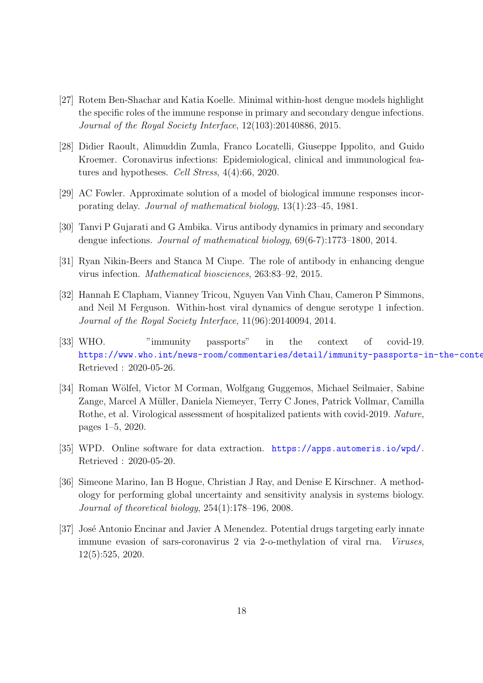- <span id="page-17-0"></span>[27] Rotem Ben-Shachar and Katia Koelle. Minimal within-host dengue models highlight the specific roles of the immune response in primary and secondary dengue infections. *Journal of the Royal Society Interface*, 12(103):20140886, 2015.
- <span id="page-17-1"></span>[28] Didier Raoult, Alimuddin Zumla, Franco Locatelli, Giuseppe Ippolito, and Guido Kroemer. Coronavirus infections: Epidemiological, clinical and immunological features and hypotheses. *Cell Stress*, 4(4):66, 2020.
- <span id="page-17-2"></span>[29] AC Fowler. Approximate solution of a model of biological immune responses incorporating delay. *Journal of mathematical biology*, 13(1):23–45, 1981.
- <span id="page-17-3"></span>[30] Tanvi P Gujarati and G Ambika. Virus antibody dynamics in primary and secondary dengue infections. *Journal of mathematical biology*, 69(6-7):1773–1800, 2014.
- <span id="page-17-4"></span>[31] Ryan Nikin-Beers and Stanca M Ciupe. The role of antibody in enhancing dengue virus infection. *Mathematical biosciences*, 263:83–92, 2015.
- <span id="page-17-5"></span>[32] Hannah E Clapham, Vianney Tricou, Nguyen Van Vinh Chau, Cameron P Simmons, and Neil M Ferguson. Within-host viral dynamics of dengue serotype 1 infection. *Journal of the Royal Society Interface*, 11(96):20140094, 2014.
- <span id="page-17-6"></span>[33] WHO. "immunity passports" in the context of covid-19. https://www.who.int/news-room/commentaries/detail/immunity-passports-in-the-conte Retrieved : 2020-05-26.
- <span id="page-17-7"></span>[34] Roman Wölfel, Victor M Corman, Wolfgang Guggemos, Michael Seilmaier, Sabine Zange, Marcel A Müller, Daniela Niemeyer, Terry C Jones, Patrick Vollmar, Camilla Rothe, et al. Virological assessment of hospitalized patients with covid-2019. *Nature*, pages 1–5, 2020.
- <span id="page-17-8"></span>[35] WPD. Online software for data extraction. <https://apps.automeris.io/wpd/>. Retrieved : 2020-05-20.
- <span id="page-17-9"></span>[36] Simeone Marino, Ian B Hogue, Christian J Ray, and Denise E Kirschner. A methodology for performing global uncertainty and sensitivity analysis in systems biology. *Journal of theoretical biology*, 254(1):178–196, 2008.
- <span id="page-17-10"></span>[37] José Antonio Encinar and Javier A Menendez. Potential drugs targeting early innate immune evasion of sars-coronavirus 2 via 2-o-methylation of viral rna. *Viruses*, 12(5):525, 2020.